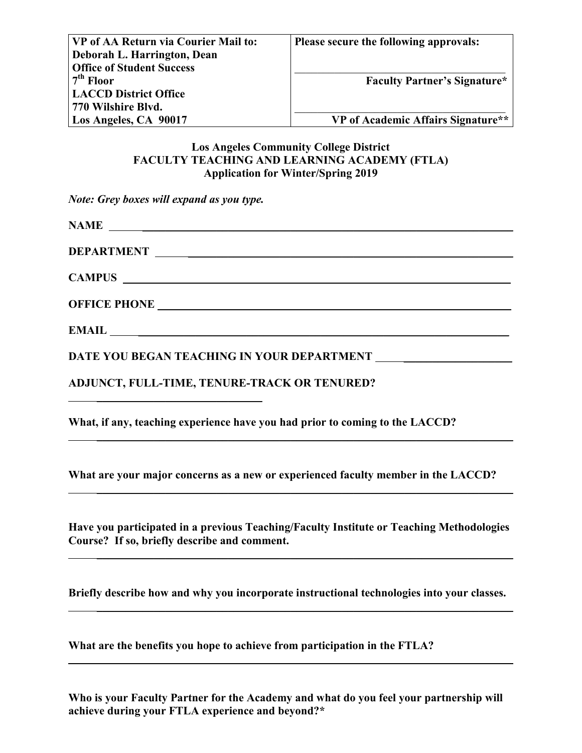| VP of AA Return via Courier Mail to: | Please secure the following approvals: |
|--------------------------------------|----------------------------------------|
| Deborah L. Harrington, Dean          |                                        |
| <b>Office of Student Success</b>     |                                        |
| $7th$ Floor                          | <b>Faculty Partner's Signature*</b>    |
| <b>LACCD District Office</b>         |                                        |
| 770 Wilshire Blvd.                   |                                        |
| Los Angeles, CA 90017                | VP of Academic Affairs Signature**     |

## **Los Angeles Community College District FACULTY TEACHING AND LEARNING ACADEMY (FTLA) Application for Winter/Spring 2019**

*Note: Grey boxes will expand as you type.* 

| NAME                                                                                                                                                             |
|------------------------------------------------------------------------------------------------------------------------------------------------------------------|
|                                                                                                                                                                  |
|                                                                                                                                                                  |
|                                                                                                                                                                  |
|                                                                                                                                                                  |
|                                                                                                                                                                  |
| ADJUNCT, FULL-TIME, TENURE-TRACK OR TENURED?                                                                                                                     |
| What, if any, teaching experience have you had prior to coming to the LACCD?<br>,我们也不会有什么。""我们的人,我们也不会有什么?""我们的人,我们也不会有什么?""我们的人,我们也不会有什么?""我们的人,我们也不会有什么?""我们的人 |
| What are your major concerns as a new or experienced faculty member in the LACCD?                                                                                |

**Have you participated in a previous Teaching/Faculty Institute or Teaching Methodologies Course? If so, briefly describe and comment.**

 $\overline{\phantom{a}}$  , and the contract of the contract of the contract of the contract of the contract of the contract of the contract of the contract of the contract of the contract of the contract of the contract of the contrac

 $\overline{\phantom{a}}$  , and the contract of the contract of the contract of the contract of the contract of the contract of the contract of the contract of the contract of the contract of the contract of the contract of the contrac

 $\overline{\phantom{a}}$  , and the contract of the contract of the contract of the contract of the contract of the contract of the contract of the contract of the contract of the contract of the contract of the contract of the contrac

**Briefly describe how and why you incorporate instructional technologies into your classes.** 

**What are the benefits you hope to achieve from participation in the FTLA?**

**Who is your Faculty Partner for the Academy and what do you feel your partnership will achieve during your FTLA experience and beyond?\***